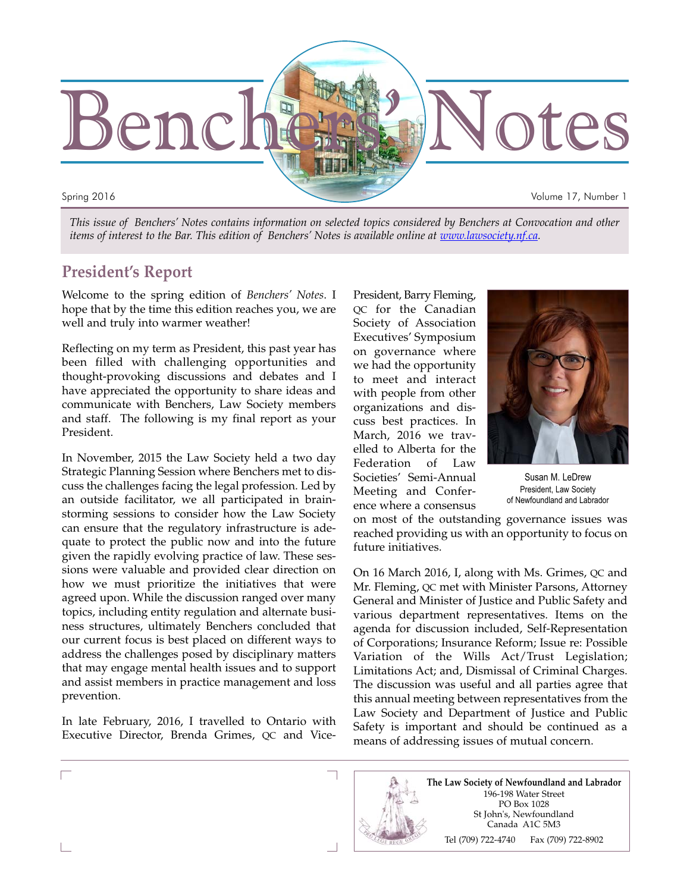

*This issue of Benchers' Notes contains information on selected topics considered by Benchers at Convocation and other items of interest to the Bar. This edition of Benchers' Notes is available online at www.lawsociety.nf.ca.*

## **President's Report**

Welcome to the spring edition of *Benchers' Notes*. I hope that by the time this edition reaches you, we are well and truly into warmer weather!

Reflecting on my term as President, this past year has been filled with challenging opportunities and thought-provoking discussions and debates and I have appreciated the opportunity to share ideas and communicate with Benchers, Law Society members and staff. The following is my final report as your President.

In November, 2015 the Law Society held a two day Strategic Planning Session where Benchers met to discuss the challenges facing the legal profession. Led by an outside facilitator, we all participated in brainstorming sessions to consider how the Law Society can ensure that the regulatory infrastructure is adequate to protect the public now and into the future given the rapidly evolving practice of law. These sessions were valuable and provided clear direction on how we must prioritize the initiatives that were agreed upon. While the discussion ranged over many topics, including entity regulation and alternate business structures, ultimately Benchers concluded that our current focus is best placed on different ways to address the challenges posed by disciplinary matters that may engage mental health issues and to support and assist members in practice management and loss prevention.

In late February, 2016, I travelled to Ontario with Executive Director, Brenda Grimes, QC and VicePresident, Barry Fleming, QC for the Canadian Society of Association Executives' Symposium on governance where we had the opportunity to meet and interact with people from other organizations and discuss best practices. In March, 2016 we travelled to Alberta for the Federation of Law Societies' Semi-Annual Meeting and Conference where a consensus



Susan M. LeDrew President, Law Society of Newfoundland and Labrador

on most of the outstanding governance issues was reached providing us with an opportunity to focus on future initiatives.

On 16 March 2016, I, along with Ms. Grimes, QC and Mr. Fleming, QC met with Minister Parsons, Attorney General and Minister of Justice and Public Safety and various department representatives. Items on the agenda for discussion included, Self-Representation of Corporations; Insurance Reform; Issue re: Possible Variation of the Wills Act/Trust Legislation; Limitations Act; and, Dismissal of Criminal Charges. The discussion was useful and all parties agree that this annual meeting between representatives from the Law Society and Department of Justice and Public Safety is important and should be continued as a means of addressing issues of mutual concern.

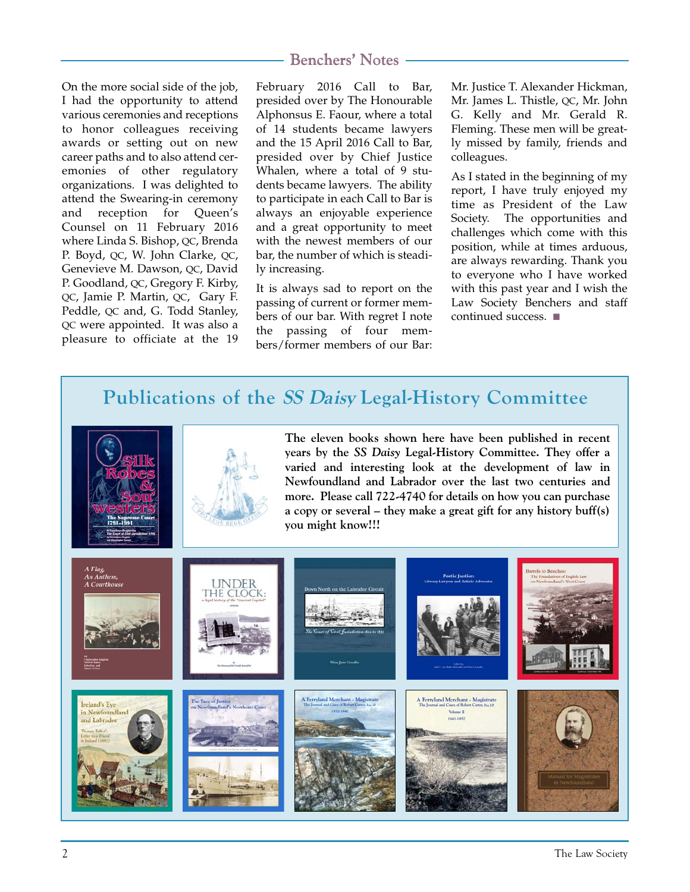On the more social side of the job, I had the opportunity to attend various ceremonies and receptions to honor colleagues receiving awards or setting out on new career paths and to also attend ceremonies of other regulatory organizations. I was delighted to attend the Swearing-in ceremony and reception for Queen's Counsel on 11 February 2016 where Linda S. Bishop, QC, Brenda P. Boyd, QC, W. John Clarke, QC, Genevieve M. Dawson, QC, David P. Goodland, QC, Gregory F. Kirby, QC, Jamie P. Martin, QC, Gary F. Peddle, QC and, G. Todd Stanley, QC were appointed. It was also a pleasure to officiate at the 19

February 2016 Call to Bar, presided over by The Honourable Alphonsus E. Faour, where a total of 14 students became lawyers and the 15 April 2016 Call to Bar, presided over by Chief Justice Whalen, where a total of 9 students became lawyers. The ability to participate in each Call to Bar is always an enjoyable experience and a great opportunity to meet with the newest members of our bar, the number of which is steadily increasing.

It is always sad to report on the passing of current or former members of our bar. With regret I note the passing of four members/former members of our Bar: Mr. Justice T. Alexander Hickman, Mr. James L. Thistle, QC, Mr. John G. Kelly and Mr. Gerald R. Fleming. These men will be greatly missed by family, friends and colleagues.

As I stated in the beginning of my report, I have truly enjoyed my time as President of the Law Society. The opportunities and challenges which come with this position, while at times arduous, are always rewarding. Thank you to everyone who I have worked with this past year and I wish the Law Society Benchers and staff continued success. ■

# **Publications of the SS Daisy Legal-History Committee**





**The eleven books shown here have been published in recent years by the** *SS Daisy* **Legal-History Committee. They offer a varied and interesting look at the development of law in Newfoundland and Labrador over the last two centuries and more. Please call 722-4740 for details on how you can purchase a copy or several – they make a great gift for any history buff(s) you might know!!!**

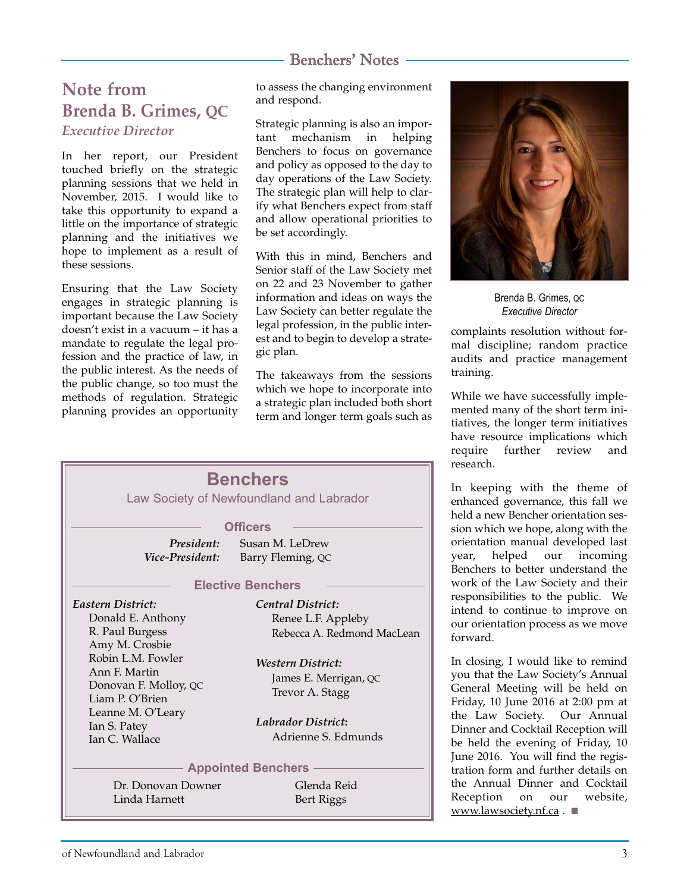# **Note from Brenda B. Grimes, QC** *Executive Director*

In her report, our President touched briefly on the strategic planning sessions that we held in November, 2015. I would like to take this opportunity to expand a little on the importance of strategic planning and the initiatives we hope to implement as a result of these sessions.

Ensuring that the Law Society engages in strategic planning is important because the Law Society doesn't exist in a vacuum – it has a mandate to regulate the legal profession and the practice of law, in the public interest. As the needs of the public change, so too must the methods of regulation. Strategic planning provides an opportunity to assess the changing environment and respond.

Strategic planning is also an important mechanism in helping Benchers to focus on governance and policy as opposed to the day to day operations of the Law Society. The strategic plan will help to clarify what Benchers expect from staff and allow operational priorities to be set accordingly.

With this in mind, Benchers and Senior staff of the Law Society met on 22 and 23 November to gather information and ideas on ways the Law Society can better regulate the legal profession, in the public interest and to begin to develop a strategic plan.

The takeaways from the sessions which we hope to incorporate into a strategic plan included both short term and longer term goals such as





Brenda B. Grimes, QC *Executive Director*

complaints resolution without formal discipline; random practice audits and practice management training.

While we have successfully implemented many of the short term initiatives, the longer term initiatives have resource implications which require further review and research.

In keeping with the theme of enhanced governance, this fall we held a new Bencher orientation session which we hope, along with the orientation manual developed last year, helped our incoming Benchers to better understand the work of the Law Society and their responsibilities to the public. We intend to continue to improve on our orientation process as we move forward.

In closing, I would like to remind you that the Law Society's Annual General Meeting will be held on Friday, 10 June 2016 at 2:00 pm at the Law Society. Our Annual Dinner and Cocktail Reception will be held the evening of Friday, 10 June 2016. You will find the registration form and further details on the Annual Dinner and Cocktail Reception on our website, www.lawsociety.nf.ca . ■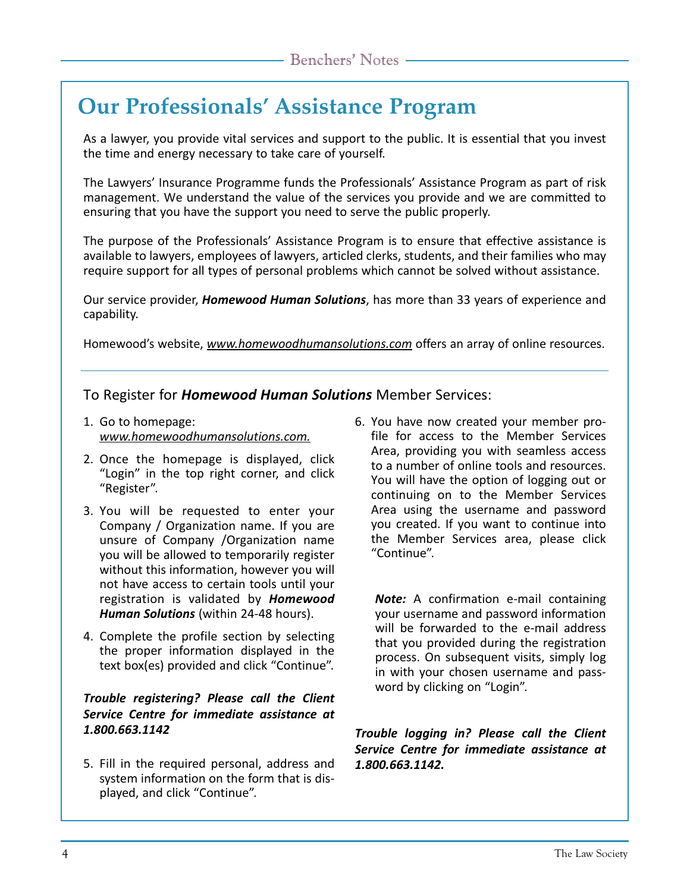# **Our Professionals' Assistance Program**

As a lawyer, you provide vital services and support to the public. It is essential that you invest the time and energy necessary to take care of yourself.

The Lawyers' Insurance Programme funds the Professionals' Assistance Program as part of risk management. We understand the value of the services you provide and we are committed to ensuring that you have the support you need to serve the public properly.

The purpose of the Professionals' Assistance Program is to ensure that effective assistance is available to lawyers, employees of lawyers, articled clerks, students, and their families who may require support for all types of personal problems which cannot be solved without assistance.

Our service provider, *Homewood Human Solutions*, has more than 33 years of experience and capability.

Homewood's website, *www.homewoodhumansolutions.com* offers an array of online resources.

To Register for *Homewood Human Solutions* Member Services:

- 1. Go to homepage: *www.homewoodhumansolutions.com.*
- 2. Once the homepage is displayed, click "Login" in the top right corner, and click "Register".
- 3. You will be requested to enter your Company / Organization name. If you are unsure of Company /Organization name you will be allowed to temporarily register without this information, however you will not have access to certain tools until your registration is validated by *Homewood Human Solutions* (within 24-48 hours).
- 4. Complete the profile section by selecting the proper information displayed in the text box(es) provided and click "Continue".

#### *Trouble registering? Please call the Client Service Centre for immediate assistance at 1.800.663.1142*

5. Fill in the required personal, address and system information on the form that is displayed, and click "Continue".

6. You have now created your member profile for access to the Member Services Area, providing you with seamless access to a number of online tools and resources. You will have the option of logging out or continuing on to the Member Services Area using the username and password you created. If you want to continue into the Member Services area, please click "Continue".

*Note:* A confirmation e-mail containing your username and password information will be forwarded to the e-mail address that you provided during the registration process. On subsequent visits, simply log in with your chosen username and password by clicking on "Login".

*Trouble logging in? Please call the Client Service Centre for immediate assistance at 1.800.663.1142.*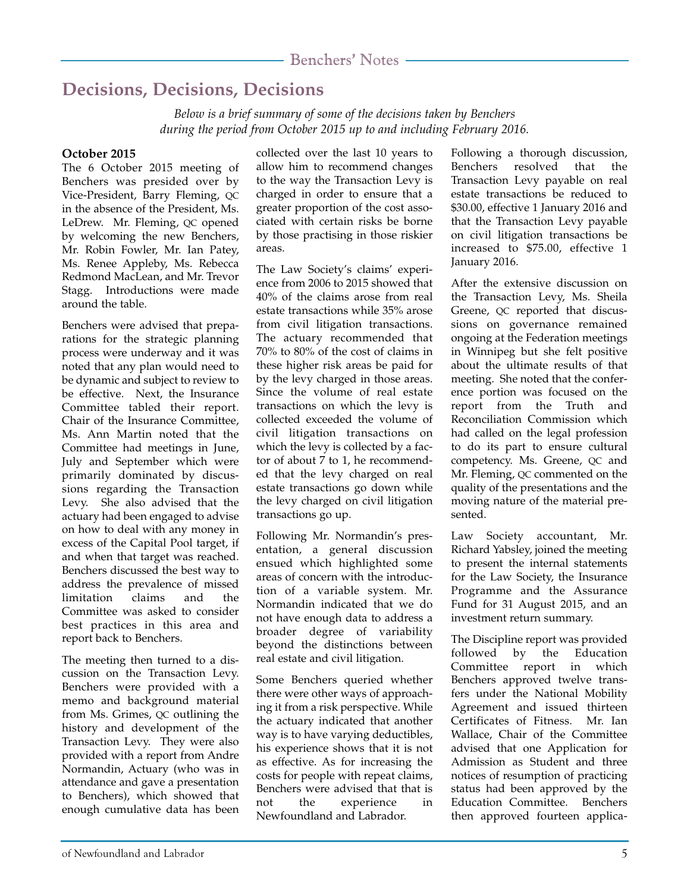# **Decisions, Decisions, Decisions**

*Below is a brief summary of some of the decisions taken by Benchers during the period from October 2015 up to and including February 2016.*

#### **October 2015**

The 6 October 2015 meeting of Benchers was presided over by Vice-President, Barry Fleming, QC in the absence of the President, Ms. LeDrew. Mr. Fleming, QC opened by welcoming the new Benchers, Mr. Robin Fowler, Mr. Ian Patey, Ms. Renee Appleby, Ms. Rebecca Redmond MacLean, and Mr. Trevor Stagg. Introductions were made around the table.

Benchers were advised that preparations for the strategic planning process were underway and it was noted that any plan would need to be dynamic and subject to review to be effective. Next, the Insurance Committee tabled their report. Chair of the Insurance Committee, Ms. Ann Martin noted that the Committee had meetings in June, July and September which were primarily dominated by discussions regarding the Transaction Levy. She also advised that the actuary had been engaged to advise on how to deal with any money in excess of the Capital Pool target, if and when that target was reached. Benchers discussed the best way to address the prevalence of missed limitation claims and the Committee was asked to consider best practices in this area and report back to Benchers.

The meeting then turned to a discussion on the Transaction Levy. Benchers were provided with a memo and background material from Ms. Grimes, QC outlining the history and development of the Transaction Levy. They were also provided with a report from Andre Normandin, Actuary (who was in attendance and gave a presentation to Benchers), which showed that enough cumulative data has been

collected over the last 10 years to allow him to recommend changes to the way the Transaction Levy is charged in order to ensure that a greater proportion of the cost associated with certain risks be borne by those practising in those riskier areas.

The Law Society's claims' experience from 2006 to 2015 showed that 40% of the claims arose from real estate transactions while 35% arose from civil litigation transactions. The actuary recommended that 70% to 80% of the cost of claims in these higher risk areas be paid for by the levy charged in those areas. Since the volume of real estate transactions on which the levy is collected exceeded the volume of civil litigation transactions on which the levy is collected by a factor of about 7 to 1, he recommended that the levy charged on real estate transactions go down while the levy charged on civil litigation transactions go up.

Following Mr. Normandin's presentation, a general discussion ensued which highlighted some areas of concern with the introduction of a variable system. Mr. Normandin indicated that we do not have enough data to address a broader degree of variability beyond the distinctions between real estate and civil litigation.

Some Benchers queried whether there were other ways of approaching it from a risk perspective. While the actuary indicated that another way is to have varying deductibles, his experience shows that it is not as effective. As for increasing the costs for people with repeat claims, Benchers were advised that that is not the experience in Newfoundland and Labrador.

Following a thorough discussion, Benchers resolved that the Transaction Levy payable on real estate transactions be reduced to \$30.00, effective 1 January 2016 and that the Transaction Levy payable on civil litigation transactions be increased to \$75.00, effective 1 January 2016.

After the extensive discussion on the Transaction Levy, Ms. Sheila Greene, QC reported that discussions on governance remained ongoing at the Federation meetings in Winnipeg but she felt positive about the ultimate results of that meeting. She noted that the conference portion was focused on the report from the Truth and Reconciliation Commission which had called on the legal profession to do its part to ensure cultural competency. Ms. Greene, QC and Mr. Fleming, QC commented on the quality of the presentations and the moving nature of the material presented.

Law Society accountant, Mr. Richard Yabsley, joined the meeting to present the internal statements for the Law Society, the Insurance Programme and the Assurance Fund for 31 August 2015, and an investment return summary.

The Discipline report was provided followed by the Education Committee report in which Benchers approved twelve transfers under the National Mobility Agreement and issued thirteen Certificates of Fitness. Mr. Ian Wallace, Chair of the Committee advised that one Application for Admission as Student and three notices of resumption of practicing status had been approved by the Education Committee. Benchers then approved fourteen applica-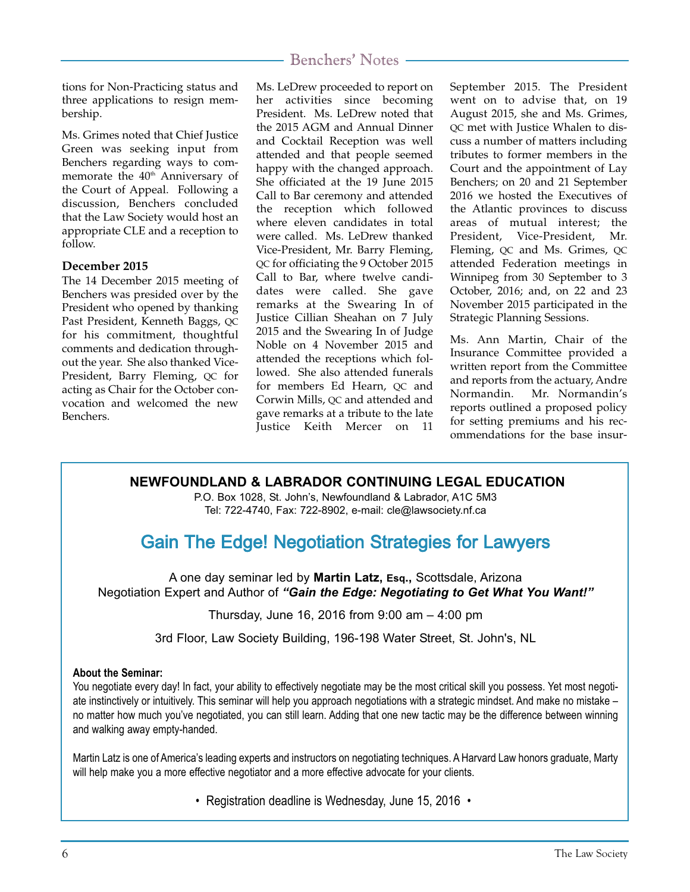tions for Non-Practicing status and three applications to resign membership.

Ms. Grimes noted that Chief Justice Green was seeking input from Benchers regarding ways to commemorate the 40<sup>th</sup> Anniversary of the Court of Appeal. Following a discussion, Benchers concluded that the Law Society would host an appropriate CLE and a reception to follow.

#### **December 2015**

The 14 December 2015 meeting of Benchers was presided over by the President who opened by thanking Past President, Kenneth Baggs, QC for his commitment, thoughtful comments and dedication throughout the year. She also thanked Vice-President, Barry Fleming, QC for acting as Chair for the October convocation and welcomed the new Benchers.

Ms. LeDrew proceeded to report on her activities since becoming President. Ms. LeDrew noted that the 2015 AGM and Annual Dinner and Cocktail Reception was well attended and that people seemed happy with the changed approach. She officiated at the 19 June 2015 Call to Bar ceremony and attended the reception which followed where eleven candidates in total were called. Ms. LeDrew thanked Vice-President, Mr. Barry Fleming, QC for officiating the 9 October 2015 Call to Bar, where twelve candidates were called. She gave remarks at the Swearing In of Justice Cillian Sheahan on 7 July 2015 and the Swearing In of Judge Noble on 4 November 2015 and attended the receptions which followed. She also attended funerals for members Ed Hearn, QC and Corwin Mills, QC and attended and gave remarks at a tribute to the late Justice Keith Mercer on 11

September 2015. The President went on to advise that, on 19 August 2015, she and Ms. Grimes, QC met with Justice Whalen to discuss a number of matters including tributes to former members in the Court and the appointment of Lay Benchers; on 20 and 21 September 2016 we hosted the Executives of the Atlantic provinces to discuss areas of mutual interest; the President, Vice-President, Mr. Fleming, QC and Ms. Grimes, QC attended Federation meetings in Winnipeg from 30 September to 3 October, 2016; and, on 22 and 23 November 2015 participated in the Strategic Planning Sessions.

Ms. Ann Martin, Chair of the Insurance Committee provided a written report from the Committee and reports from the actuary, Andre Normandin. Mr. Normandin's reports outlined a proposed policy for setting premiums and his recommendations for the base insur-

#### **NEWFOUNDLAND & LABRADOR CONTINUING LEGAL EDUCATION**

P.O. Box 1028, St. John's, Newfoundland & Labrador, A1C 5M3 Tel: 722-4740, Fax: 722-8902, e-mail: cle@lawsociety.nf.ca

# Gain The Edge! Negotiation Strategies for Lawyers

A one day seminar led by **Martin Latz, Esq.,** Scottsdale, Arizona Negotiation Expert and Author of *"Gain the Edge: Negotiating to Get What You Want!"*

Thursday, June 16, 2016 from 9:00 am – 4:00 pm

3rd Floor, Law Society Building, 196-198 Water Street, St. John's, NL

#### **About the Seminar:**

You negotiate every day! In fact, your ability to effectively negotiate may be the most critical skill you possess. Yet most negotiate instinctively or intuitively. This seminar will help you approach negotiations with a strategic mindset. And make no mistake – no matter how much you've negotiated, you can still learn. Adding that one new tactic may be the difference between winning and walking away empty-handed.

Martin Latz is one of America's leading experts and instructors on negotiating techniques. A Harvard Law honors graduate, Marty will help make you a more effective negotiator and a more effective advocate for your clients.

• Registration deadline is Wednesday, June 15, 2016 •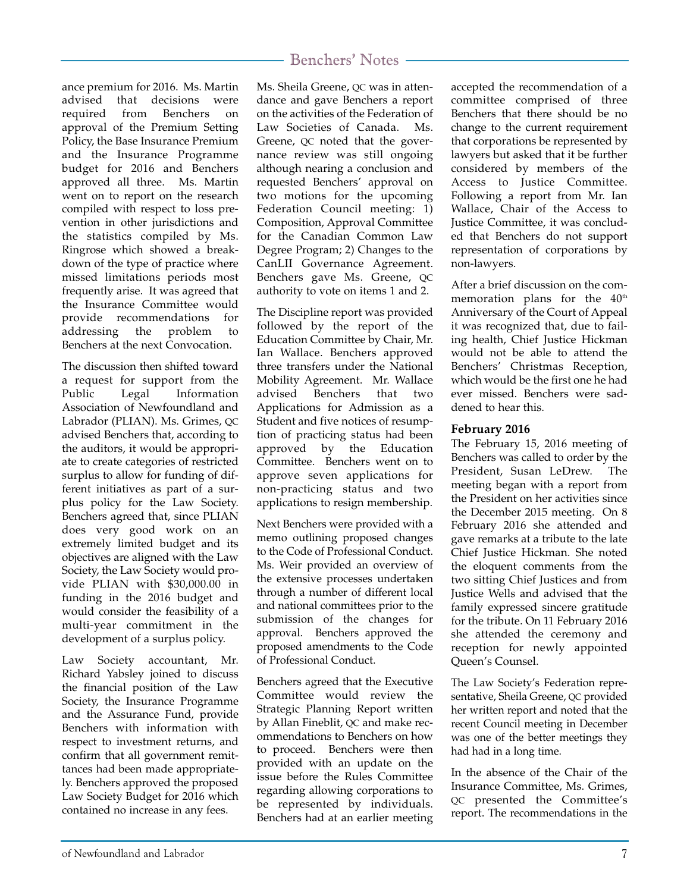ance premium for 2016. Ms. Martin advised that decisions were required from Benchers on approval of the Premium Setting Policy, the Base Insurance Premium and the Insurance Programme budget for 2016 and Benchers approved all three. Ms. Martin went on to report on the research compiled with respect to loss prevention in other jurisdictions and the statistics compiled by Ms. Ringrose which showed a breakdown of the type of practice where missed limitations periods most frequently arise. It was agreed that the Insurance Committee would provide recommendations for addressing the problem to Benchers at the next Convocation.

The discussion then shifted toward a request for support from the Public Legal Information Association of Newfoundland and Labrador (PLIAN). Ms. Grimes, QC advised Benchers that, according to the auditors, it would be appropriate to create categories of restricted surplus to allow for funding of different initiatives as part of a surplus policy for the Law Society. Benchers agreed that, since PLIAN does very good work on an extremely limited budget and its objectives are aligned with the Law Society, the Law Society would provide PLIAN with \$30,000.00 in funding in the 2016 budget and would consider the feasibility of a multi-year commitment in the development of a surplus policy.

Law Society accountant, Mr. Richard Yabsley joined to discuss the financial position of the Law Society, the Insurance Programme and the Assurance Fund, provide Benchers with information with respect to investment returns, and confirm that all government remittances had been made appropriately. Benchers approved the proposed Law Society Budget for 2016 which contained no increase in any fees.

Ms. Sheila Greene, QC was in attendance and gave Benchers a report on the activities of the Federation of Law Societies of Canada. Ms. Greene, QC noted that the governance review was still ongoing although nearing a conclusion and requested Benchers' approval on two motions for the upcoming Federation Council meeting: 1) Composition, Approval Committee for the Canadian Common Law Degree Program; 2) Changes to the CanLII Governance Agreement. Benchers gave Ms. Greene, QC authority to vote on items 1 and 2.

The Discipline report was provided followed by the report of the Education Committee by Chair, Mr. Ian Wallace. Benchers approved three transfers under the National Mobility Agreement. Mr. Wallace advised Benchers that two Applications for Admission as a Student and five notices of resumption of practicing status had been approved by the Education Committee. Benchers went on to approve seven applications for non-practicing status and two applications to resign membership.

Next Benchers were provided with a memo outlining proposed changes to the Code of Professional Conduct. Ms. Weir provided an overview of the extensive processes undertaken through a number of different local and national committees prior to the submission of the changes for approval. Benchers approved the proposed amendments to the Code of Professional Conduct.

Benchers agreed that the Executive Committee would review the Strategic Planning Report written by Allan Fineblit, QC and make recommendations to Benchers on how to proceed. Benchers were then provided with an update on the issue before the Rules Committee regarding allowing corporations to be represented by individuals. Benchers had at an earlier meeting

accepted the recommendation of a committee comprised of three Benchers that there should be no change to the current requirement that corporations be represented by lawyers but asked that it be further considered by members of the Access to Justice Committee. Following a report from Mr. Ian Wallace, Chair of the Access to Justice Committee, it was concluded that Benchers do not support representation of corporations by non-lawyers.

After a brief discussion on the commemoration plans for the 40<sup>th</sup> Anniversary of the Court of Appeal it was recognized that, due to failing health, Chief Justice Hickman would not be able to attend the Benchers' Christmas Reception, which would be the first one he had ever missed. Benchers were saddened to hear this.

#### **February 2016**

The February 15, 2016 meeting of Benchers was called to order by the President, Susan LeDrew. The meeting began with a report from the President on her activities since the December 2015 meeting. On 8 February 2016 she attended and gave remarks at a tribute to the late Chief Justice Hickman. She noted the eloquent comments from the two sitting Chief Justices and from Justice Wells and advised that the family expressed sincere gratitude for the tribute. On 11 February 2016 she attended the ceremony and reception for newly appointed Queen's Counsel.

The Law Society's Federation representative, Sheila Greene, QC provided her written report and noted that the recent Council meeting in December was one of the better meetings they had had in a long time.

In the absence of the Chair of the Insurance Committee, Ms. Grimes, QC presented the Committee's report. The recommendations in the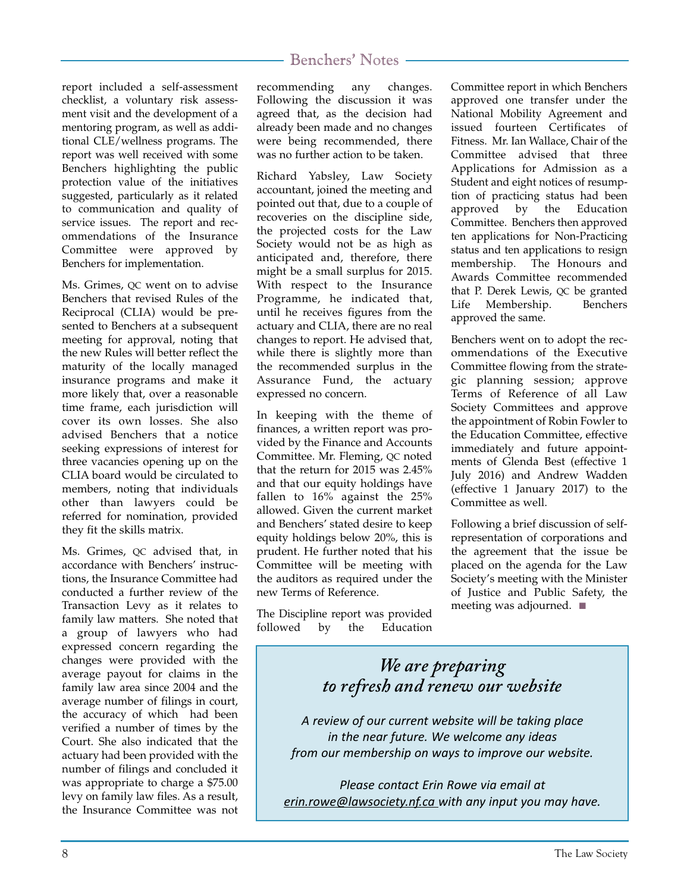report included a self-assessment checklist, a voluntary risk assessment visit and the development of a mentoring program, as well as additional CLE/wellness programs. The report was well received with some Benchers highlighting the public protection value of the initiatives suggested, particularly as it related to communication and quality of service issues. The report and recommendations of the Insurance Committee were approved by Benchers for implementation.

Ms. Grimes, QC went on to advise Benchers that revised Rules of the Reciprocal (CLIA) would be presented to Benchers at a subsequent meeting for approval, noting that the new Rules will better reflect the maturity of the locally managed insurance programs and make it more likely that, over a reasonable time frame, each jurisdiction will cover its own losses. She also advised Benchers that a notice seeking expressions of interest for three vacancies opening up on the CLIA board would be circulated to members, noting that individuals other than lawyers could be referred for nomination, provided they fit the skills matrix.

Ms. Grimes, QC advised that, in accordance with Benchers' instructions, the Insurance Committee had conducted a further review of the Transaction Levy as it relates to family law matters. She noted that a group of lawyers who had expressed concern regarding the changes were provided with the average payout for claims in the family law area since 2004 and the average number of filings in court, the accuracy of which had been verified a number of times by the Court. She also indicated that the actuary had been provided with the number of filings and concluded it was appropriate to charge a \$75.00 levy on family law files. As a result, the Insurance Committee was not

recommending any changes. Following the discussion it was agreed that, as the decision had already been made and no changes were being recommended, there was no further action to be taken.

Richard Yabsley, Law Society accountant, joined the meeting and pointed out that, due to a couple of recoveries on the discipline side, the projected costs for the Law Society would not be as high as anticipated and, therefore, there might be a small surplus for 2015. With respect to the Insurance Programme, he indicated that, until he receives figures from the actuary and CLIA, there are no real changes to report. He advised that, while there is slightly more than the recommended surplus in the Assurance Fund, the actuary expressed no concern.

In keeping with the theme of finances, a written report was provided by the Finance and Accounts Committee. Mr. Fleming, QC noted that the return for 2015 was 2.45% and that our equity holdings have fallen to 16% against the 25% allowed. Given the current market and Benchers' stated desire to keep equity holdings below 20%, this is prudent. He further noted that his Committee will be meeting with the auditors as required under the new Terms of Reference.

The Discipline report was provided followed by the Education Committee report in which Benchers approved one transfer under the National Mobility Agreement and issued fourteen Certificates of Fitness. Mr. Ian Wallace, Chair of the Committee advised that three Applications for Admission as a Student and eight notices of resumption of practicing status had been approved by the Education Committee. Benchers then approved ten applications for Non-Practicing status and ten applications to resign membership. The Honours and Awards Committee recommended that P. Derek Lewis, QC be granted Life Membership. Benchers approved the same.

Benchers went on to adopt the recommendations of the Executive Committee flowing from the strategic planning session; approve Terms of Reference of all Law Society Committees and approve the appointment of Robin Fowler to the Education Committee, effective immediately and future appointments of Glenda Best (effective 1 July 2016) and Andrew Wadden (effective 1 January 2017) to the Committee as well.

Following a brief discussion of selfrepresentation of corporations and the agreement that the issue be placed on the agenda for the Law Society's meeting with the Minister of Justice and Public Safety, the meeting was adjourned. ■

# *We are preparing to refresh and renew our website*

*A review of our current website will be taking place in the near future. We welcome any ideas from our membership on ways to improve our website.*

*Please contact Erin Rowe via email at erin.rowe@lawsociety.nf.ca with any input you may have.*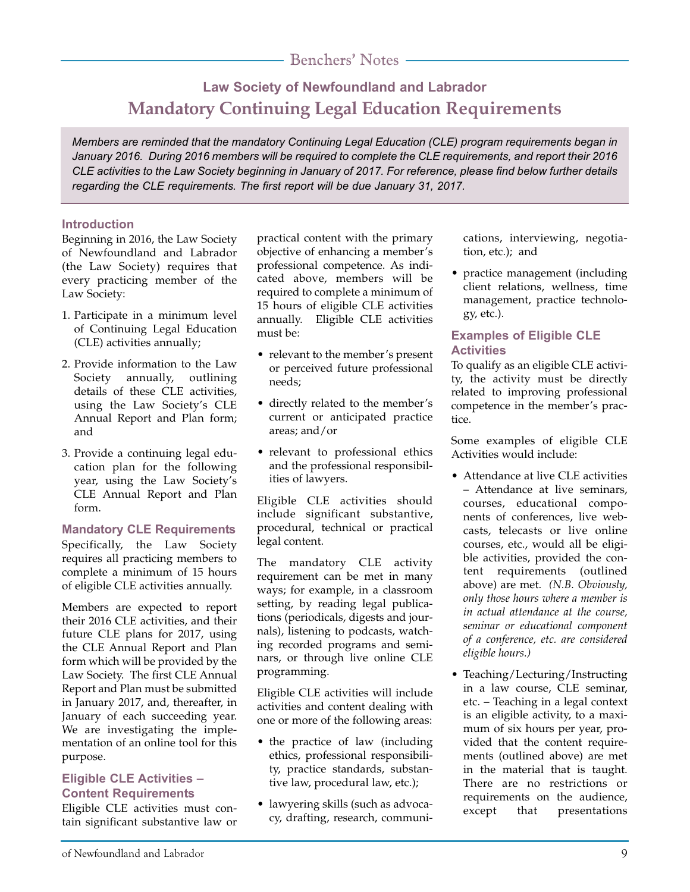# **Law Society of Newfoundland and Labrador Mandatory Continuing Legal Education Requirements**

*Members are reminded that the mandatory Continuing Legal Education (CLE) program requirements began in January 2016. During 2016 members will be required to complete the CLE requirements, and report their 2016 CLE activities to the Law Society beginning in January of 2017. For reference, please find below further details regarding the CLE requirements. The first report will be due January 31, 2017.*

#### **Introduction**

Beginning in 2016, the Law Society of Newfoundland and Labrador (the Law Society) requires that every practicing member of the Law Society:

- 1. Participate in a minimum level of Continuing Legal Education (CLE) activities annually;
- 2. Provide information to the Law Society annually, outlining details of these CLE activities, using the Law Society's CLE Annual Report and Plan form; and
- 3. Provide a continuing legal education plan for the following year, using the Law Society's CLE Annual Report and Plan form.

#### **Mandatory CLE Requirements** Specifically, the Law Society requires all practicing members to complete a minimum of 15 hours of eligible CLE activities annually.

Members are expected to report their 2016 CLE activities, and their future CLE plans for 2017, using the CLE Annual Report and Plan form which will be provided by the Law Society. The first CLE Annual Report and Plan must be submitted in January 2017, and, thereafter, in January of each succeeding year. We are investigating the implementation of an online tool for this purpose.

#### **Eligible CLE Activities – Content Requirements**

Eligible CLE activities must contain significant substantive law or practical content with the primary objective of enhancing a member's professional competence. As indicated above, members will be required to complete a minimum of 15 hours of eligible CLE activities annually. Eligible CLE activities must be:

- relevant to the member's present or perceived future professional needs;
- directly related to the member's current or anticipated practice areas; and/or
- relevant to professional ethics and the professional responsibilities of lawyers.

Eligible CLE activities should include significant substantive, procedural, technical or practical legal content.

The mandatory CLE activity requirement can be met in many ways; for example, in a classroom setting, by reading legal publications (periodicals, digests and journals), listening to podcasts, watching recorded programs and seminars, or through live online CLE programming.

Eligible CLE activities will include activities and content dealing with one or more of the following areas:

- the practice of law (including ethics, professional responsibility, practice standards, substantive law, procedural law, etc.);
- lawyering skills (such as advocacy, drafting, research, communi-

cations, interviewing, negotiation, etc.); and

• practice management (including client relations, wellness, time management, practice technology, etc.).

#### **Examples of Eligible CLE Activities**

To qualify as an eligible CLE activity, the activity must be directly related to improving professional competence in the member's practice.

Some examples of eligible CLE Activities would include:

- Attendance at live CLE activities – Attendance at live seminars, courses, educational components of conferences, live webcasts, telecasts or live online courses, etc., would all be eligible activities, provided the content requirements (outlined above) are met. *(N.B. Obviously, only those hours where a member is in actual attendance at the course, seminar or educational component of a conference, etc. are considered eligible hours.)*
- Teaching/Lecturing/Instructing in a law course, CLE seminar, etc. – Teaching in a legal context is an eligible activity, to a maximum of six hours per year, provided that the content requirements (outlined above) are met in the material that is taught. There are no restrictions or requirements on the audience, except that presentations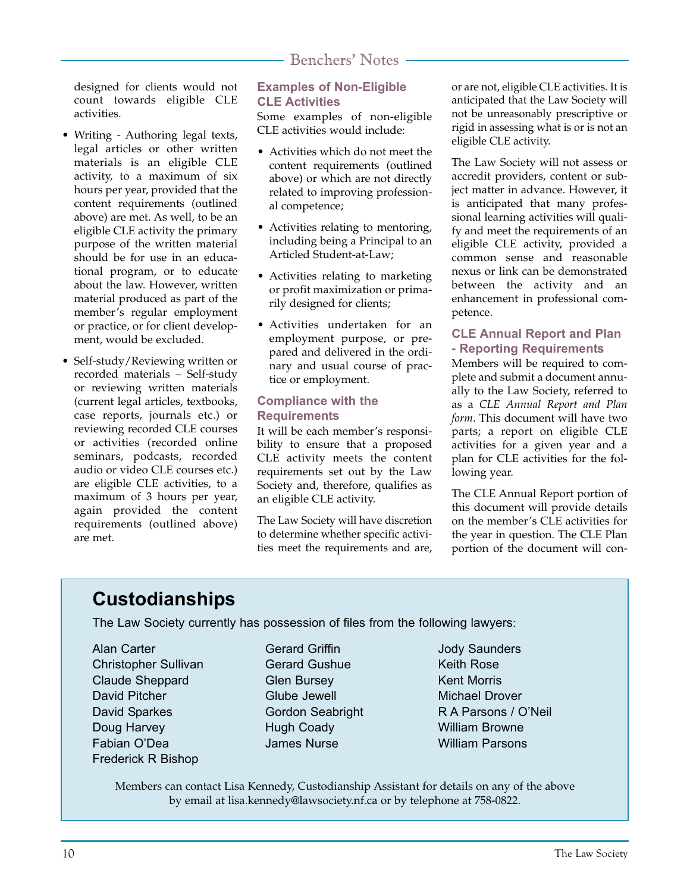designed for clients would not count towards eligible CLE activities.

- Writing Authoring legal texts, legal articles or other written materials is an eligible CLE activity, to a maximum of six hours per year, provided that the content requirements (outlined above) are met. As well, to be an eligible CLE activity the primary purpose of the written material should be for use in an educational program, or to educate about the law. However, written material produced as part of the member's regular employment or practice, or for client development, would be excluded.
- Self-study/Reviewing written or recorded materials – Self-study or reviewing written materials (current legal articles, textbooks, case reports, journals etc.) or reviewing recorded CLE courses or activities (recorded online seminars, podcasts, recorded audio or video CLE courses etc.) are eligible CLE activities, to a maximum of 3 hours per year, again provided the content requirements (outlined above) are met.

#### **Examples of Non-Eligible CLE Activities**

Some examples of non-eligible CLE activities would include:

- Activities which do not meet the content requirements (outlined above) or which are not directly related to improving professional competence;
- Activities relating to mentoring, including being a Principal to an Articled Student-at-Law;
- Activities relating to marketing or profit maximization or primarily designed for clients;
- Activities undertaken for an employment purpose, or prepared and delivered in the ordinary and usual course of practice or employment.

#### **Compliance with the Requirements**

It will be each member's responsibility to ensure that a proposed CLE activity meets the content requirements set out by the Law Society and, therefore, qualifies as an eligible CLE activity.

The Law Society will have discretion to determine whether specific activities meet the requirements and are,

or are not, eligible CLE activities. It is anticipated that the Law Society will not be unreasonably prescriptive or rigid in assessing what is or is not an eligible CLE activity.

The Law Society will not assess or accredit providers, content or subject matter in advance. However, it is anticipated that many professional learning activities will qualify and meet the requirements of an eligible CLE activity, provided a common sense and reasonable nexus or link can be demonstrated between the activity and an enhancement in professional competence.

#### **CLE Annual Report and Plan - Reporting Requirements**

Members will be required to complete and submit a document annually to the Law Society, referred to as a *CLE Annual Report and Plan form*. This document will have two parts; a report on eligible CLE activities for a given year and a plan for CLE activities for the following year.

The CLE Annual Report portion of this document will provide details on the member's CLE activities for the year in question. The CLE Plan portion of the document will con-

# **Custodianships**

The Law Society currently has possession of files from the following lawyers:

Alan Carter Christopher Sullivan Claude Sheppard David Pitcher David Sparkes Doug Harvey Fabian O'Dea Frederick R Bishop

- Gerard Griffin Gerard Gushue Glen Bursey Glube Jewell Gordon Seabright Hugh Coady James Nurse
- Jody Saunders Keith Rose Kent Morris Michael Drover R A Parsons / O'Neil William Browne William Parsons

Members can contact Lisa Kennedy, Custodianship Assistant for details on any of the above by email at lisa.kennedy@lawsociety.nf.ca or by telephone at 758-0822.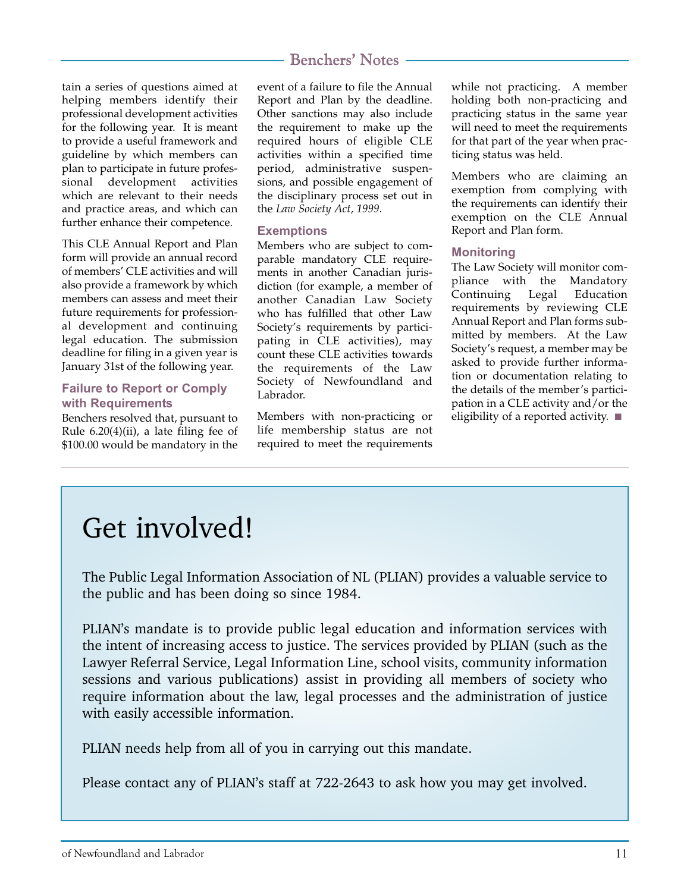#### tain a series of questions aimed at helping members identify their professional development activities for the following year. It is meant to provide a useful framework and guideline by which members can plan to participate in future professional development activities which are relevant to their needs and practice areas, and which can further enhance their competence.

This CLE Annual Report and Plan form will provide an annual record of members' CLE activities and will also provide a framework by which members can assess and meet their future requirements for professional development and continuing legal education. The submission deadline for filing in a given year is January 31st of the following year.

#### **Failure to Report or Comply with Requirements**

Benchers resolved that, pursuant to Rule 6.20(4)(ii), a late filing fee of \$100.00 would be mandatory in the

# Benchers' Notes

event of a failure to file the Annual Report and Plan by the deadline. Other sanctions may also include the requirement to make up the required hours of eligible CLE activities within a specified time period, administrative suspensions, and possible engagement of the disciplinary process set out in the *Law Society Act, 1999*.

#### **Exemptions**

Members who are subject to comparable mandatory CLE requirements in another Canadian jurisdiction (for example, a member of another Canadian Law Society who has fulfilled that other Law Society's requirements by participating in CLE activities), may count these CLE activities towards the requirements of the Law Society of Newfoundland and Labrador.

Members with non-practicing or life membership status are not required to meet the requirements

while not practicing. A member holding both non-practicing and practicing status in the same year will need to meet the requirements for that part of the year when practicing status was held.

Members who are claiming an exemption from complying with the requirements can identify their exemption on the CLE Annual Report and Plan form.

#### **Monitoring**

The Law Society will monitor compliance with the Mandatory Continuing Legal Education requirements by reviewing CLE Annual Report and Plan forms submitted by members. At the Law Society's request, a member may be asked to provide further information or documentation relating to the details of the member's participation in a CLE activity and/or the eligibility of a reported activity. ■

# Get involved!

The Public Legal Information Association of NL (PLIAN) provides a valuable service to the public and has been doing so since 1984.

PLIAN's mandate is to provide public legal education and information services with the intent of increasing access to justice. The services provided by PLIAN (such as the Lawyer Referral Service, Legal Information Line, school visits, community information sessions and various publications) assist in providing all members of society who require information about the law, legal processes and the administration of justice with easily accessible information.

PLIAN needs help from all of you in carrying out this mandate.

Please contact any of PLIAN's staff at 722-2643 to ask how you may get involved.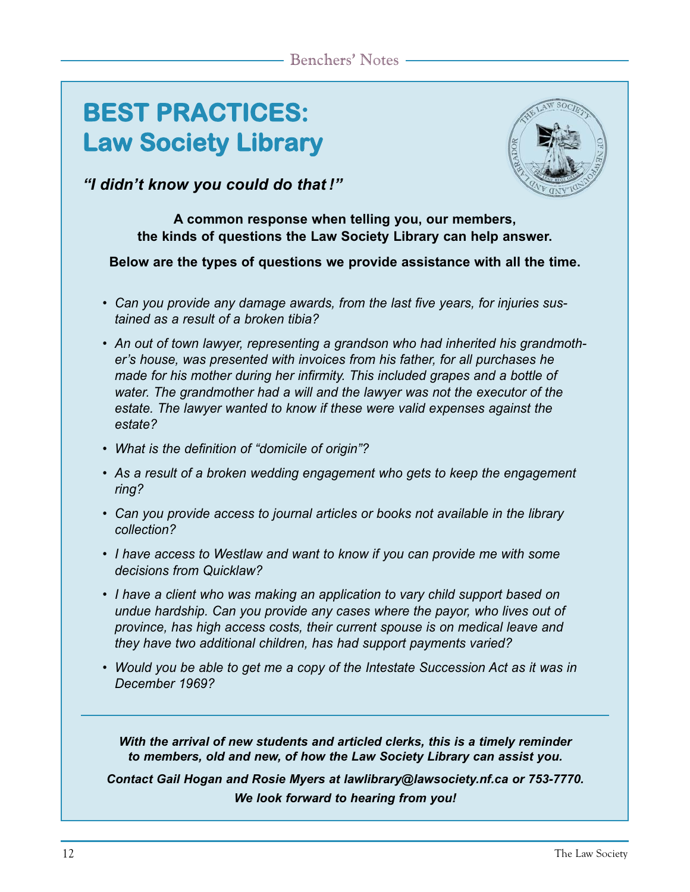# **BEST PRACTICES: Law Society Library**



*"I didn't know you could do that !"*

### **A common response when telling you, our members, the kinds of questions the Law Society Library can help answer.**

## **Below are the types of questions we provide assistance with all the time.**

- *Can you provide any damage awards, from the last five years, for injuries sustained as a result of a broken tibia?*
- *An out of town lawyer, representing a grandson who had inherited his grandmother's house, was presented with invoices from his father, for all purchases he made for his mother during her infirmity. This included grapes and a bottle of water. The grandmother had a will and the lawyer was not the executor of the estate. The lawyer wanted to know if these were valid expenses against the estate?*
- *What is the definition of "domicile of origin"?*
- *As a result of a broken wedding engagement who gets to keep the engagement ring?*
- *Can you provide access to journal articles or books not available in the library collection?*
- *I have access to Westlaw and want to know if you can provide me with some decisions from Quicklaw?*
- *I have a client who was making an application to vary child support based on undue hardship. Can you provide any cases where the payor, who lives out of province, has high access costs, their current spouse is on medical leave and they have two additional children, has had support payments varied?*
- *Would you be able to get me a copy of the Intestate Succession Act as it was in December 1969?*

*With the arrival of new students and articled clerks, this is a timely reminder to members, old and new, of how the Law Society Library can assist you.*

*Contact Gail Hogan and Rosie Myers at lawlibrary@lawsociety.nf.ca or 753-7770. We look forward to hearing from you!*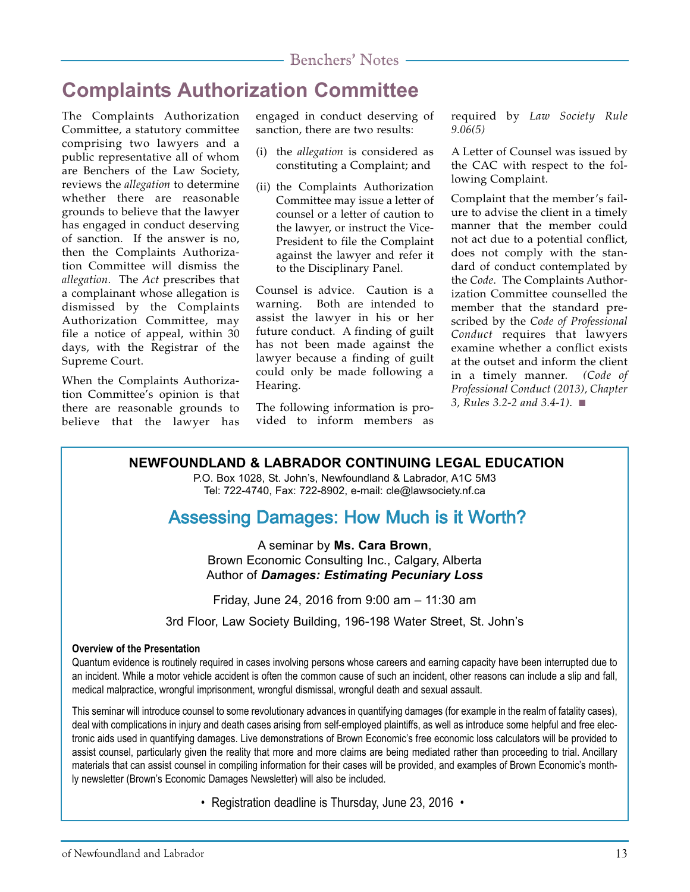# **Complaints Authorization Committee**

The Complaints Authorization Committee, a statutory committee comprising two lawyers and a public representative all of whom are Benchers of the Law Society, reviews the *allegation* to determine whether there are reasonable grounds to believe that the lawyer has engaged in conduct deserving of sanction. If the answer is no, then the Complaints Authorization Committee will dismiss the *allegation*. The *Act* prescribes that a complainant whose allegation is dismissed by the Complaints Authorization Committee, may file a notice of appeal, within 30 days, with the Registrar of the Supreme Court.

When the Complaints Authorization Committee's opinion is that there are reasonable grounds to believe that the lawyer has engaged in conduct deserving of sanction, there are two results:

- (i) the *allegation* is considered as constituting a Complaint; and
- (ii) the Complaints Authorization Committee may issue a letter of counsel or a letter of caution to the lawyer, or instruct the Vice-President to file the Complaint against the lawyer and refer it to the Disciplinary Panel.

Counsel is advice. Caution is a warning. Both are intended to assist the lawyer in his or her future conduct. A finding of guilt has not been made against the lawyer because a finding of guilt could only be made following a Hearing.

The following information is provided to inform members as required by *Law Society Rule 9.06(5)*

A Letter of Counsel was issued by the CAC with respect to the following Complaint.

Complaint that the member's failure to advise the client in a timely manner that the member could not act due to a potential conflict, does not comply with the standard of conduct contemplated by the *Code*. The Complaints Authorization Committee counselled the member that the standard prescribed by the *Code of Professional Conduct* requires that lawyers examine whether a conflict exists at the outset and inform the client in a timely manner. *(Code of Professional Conduct (2013), Chapter 3, Rules 3.2-2 and 3.4-1)*. ■

## **NEWFOUNDLAND & LABRADOR CONTINUING LEGAL EDUCATION**

P.O. Box 1028, St. John's, Newfoundland & Labrador, A1C 5M3 Tel: 722-4740, Fax: 722-8902, e-mail: cle@lawsociety.nf.ca

# Assessing Damages: How Much is it Worth?

A seminar by **Ms. Cara Brown**, Brown Economic Consulting Inc., Calgary, Alberta Author of *Damages: Estimating Pecuniary Loss*

Friday, June 24, 2016 from 9:00 am – 11:30 am

3rd Floor, Law Society Building, 196-198 Water Street, St. John's

#### **Overview of the Presentation**

Quantum evidence is routinely required in cases involving persons whose careers and earning capacity have been interrupted due to an incident. While a motor vehicle accident is often the common cause of such an incident, other reasons can include a slip and fall, medical malpractice, wrongful imprisonment, wrongful dismissal, wrongful death and sexual assault.

This seminar will introduce counsel to some revolutionary advances in quantifying damages (for example in the realm of fatality cases), deal with complications in injury and death cases arising from self-employed plaintiffs, as well as introduce some helpful and free electronic aids used in quantifying damages. Live demonstrations of Brown Economic's free economic loss calculators will be provided to assist counsel, particularly given the reality that more and more claims are being mediated rather than proceeding to trial. Ancillary materials that can assist counsel in compiling information for their cases will be provided, and examples of Brown Economic's monthly newsletter (Brown's Economic Damages Newsletter) will also be included.

• Registration deadline is Thursday, June 23, 2016 •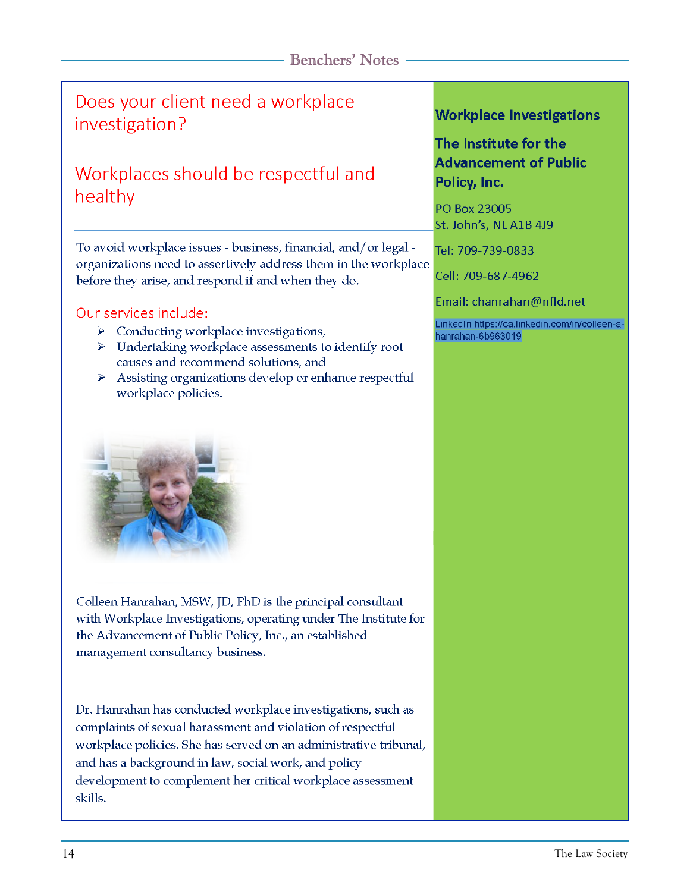# Does your client need a workplace investigation?

# Workplaces should be respectful and healthy

To avoid workplace issues - business, financial, and/or legal organizations need to assertively address them in the workplace before they arise, and respond if and when they do.

## Our services include:

- $\triangleright$  Conducting workplace investigations,
- $\triangleright$  Undertaking workplace assessments to identify root causes and recommend solutions, and
- Assisting organizations develop or enhance respectful ≻ workplace policies.



Colleen Hanrahan, MSW, JD, PhD is the principal consultant with Workplace Investigations, operating under The Institute for the Advancement of Public Policy, Inc., an established management consultancy business.

Dr. Hanrahan has conducted workplace investigations, such as complaints of sexual harassment and violation of respectful workplace policies. She has served on an administrative tribunal, and has a background in law, social work, and policy development to complement her critical workplace assessment skills.

## **Workplace Investigations**

# The Institute for the **Advancement of Public** Policy, Inc.

PO Box 23005 St. John's, NL A1B 4J9

Tel: 709-739-0833

Cell: 709-687-4962

Email: chanrahan@nfld.net

LinkedIn https://ca.linkedin.com/in/colleen-ahanrahan-6b963019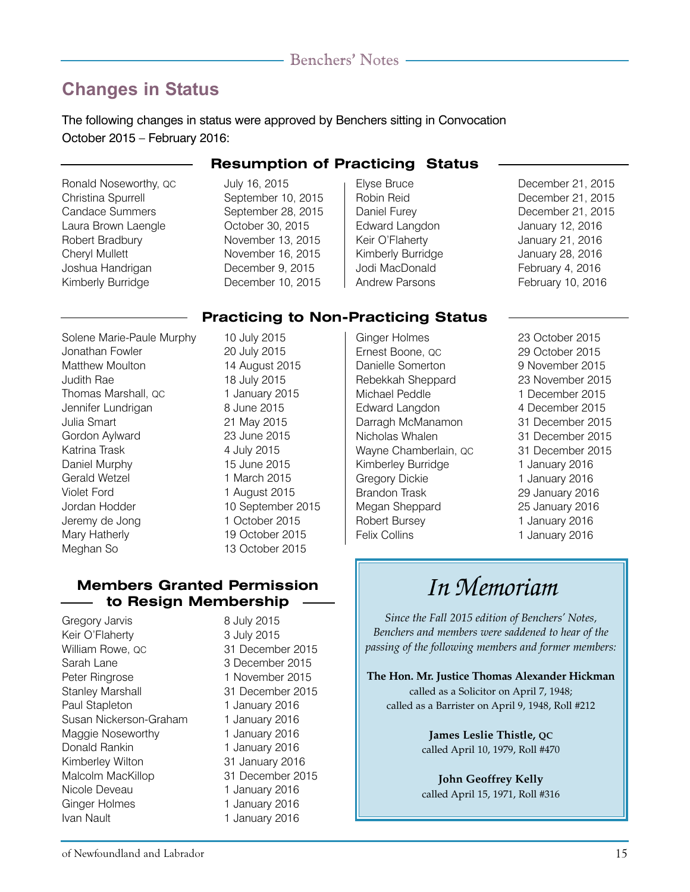# **Changes in Status**

The following changes in status were approved by Benchers sitting in Convocation October 2015 – February 2016:

Ronald Noseworthy, QC July 16, 2015 Christina Spurrell September 10, 2015 Candace Summers September 28, 2015 Laura Brown Laengle October 30, 2015 Robert Bradbury November 13, 2015 Cheryl Mullett November 16, 2015 Joshua Handrigan December 9, 2015 Kimberly Burridge December 10, 2015

### **Resumption of Practicing Status**

- 
- Edward Langdon January 12, 2016 Keir O'Flaherty January 21, 2016 Kimberly Burridge January 28, 2016 Jodi MacDonald February 4, 2016 Andrew Parsons February 10, 2016
- Elyse Bruce December 21, 2015 Robin Reid December 21, 2015 Daniel Furey December 21, 2015

## **Practicing to Non-Practicing Status**

Solene Marie-Paule Murphy 10 July 2015 Jonathan Fowler 20 July 2015 Matthew Moulton 14 August 2015 Judith Rae 18 July 2015 Thomas Marshall, QC 1 January 2015 Jennifer Lundrigan 8 June 2015 Julia Smart 21 May 2015 Gordon Aylward 23 June 2015 Katrina Trask 4 July 2015 Daniel Murphy 15 June 2015 Gerald Wetzel 1 March 2015 Violet Ford 1 August 2015 Jordan Hodder 10 September 2015 Jeremy de Jong 1 October 2015 Mary Hatherly 19 October 2015 Meghan So 13 October 2015

## **Members Granted Permission to Resign Membership**

Gregory Jarvis 8 July 2015 Keir O'Flaherty 3 July 2015 William Rowe, QC 31 December 2015 Sarah Lane 3 December 2015 Peter Ringrose 1 November 2015 Stanley Marshall 31 December 2015 Paul Stapleton 1 January 2016 Susan Nickerson-Graham 1 January 2016 Maggie Noseworthy 1 January 2016 Donald Rankin 1 January 2016 Kimberley Wilton 31 January 2016 Malcolm MacKillop 31 December 2015 Nicole Deveau 1 January 2016 Ginger Holmes 1 January 2016 Ivan Nault 1 January 2016

Ernest Boone, QC 29 October 2015 Danielle Somerton 9 November 2015 Rebekkah Sheppard 23 November 2015 Michael Peddle 1 December 2015 Edward Langdon 4 December 2015 Darragh McManamon 31 December 2015 Nicholas Whalen 31 December 2015 Wayne Chamberlain, QC 31 December 2015 Kimberley Burridge 1 January 2016 Gregory Dickie 1 January 2016 Brandon Trask 29 January 2016 Megan Sheppard 25 January 2016 Robert Bursey 1 January 2016 Felix Collins **1 January 2016** 

Ginger Holmes 23 October 2015

# *In Memoriam*

*Since the Fall 2015 edition of Benchers' Notes, Benchers and members were saddened to hear of the passing of the following members and former members:*

**The Hon. Mr. Justice Thomas Alexander Hickman** called as a Solicitor on April 7, 1948; called as a Barrister on April 9, 1948, Roll #212

> **James Leslie Thistle, QC** called April 10, 1979, Roll #470

> **John Geoffrey Kelly** called April 15, 1971, Roll #316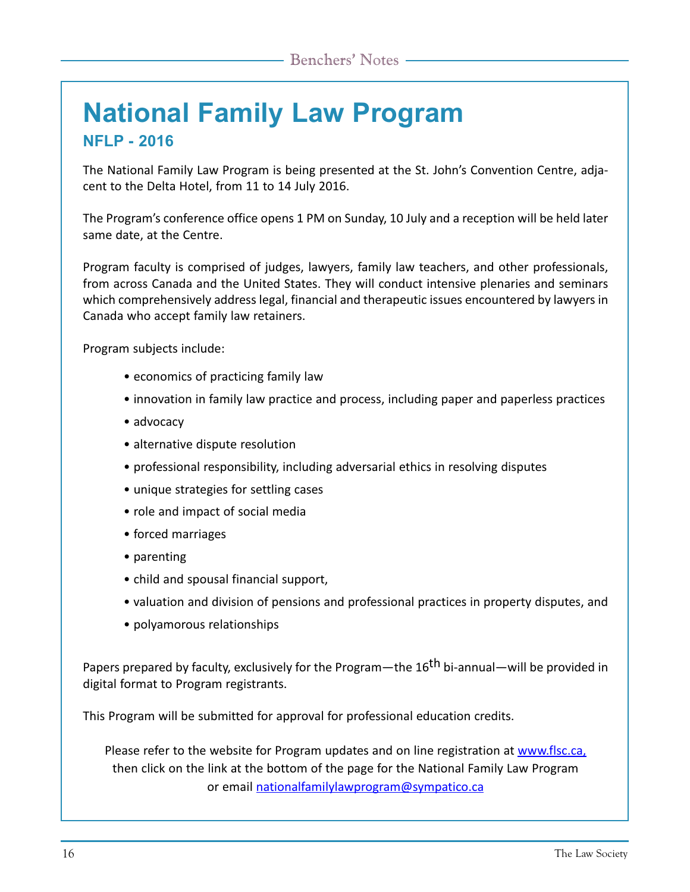# **National Family Law Program NFLP - 2016**

The National Family Law Program is being presented at the St. John's Convention Centre, adjacent to the Delta Hotel, from 11 to 14 July 2016.

The Program's conference office opens 1 PM on Sunday, 10 July and a reception will be held later same date, at the Centre.

Program faculty is comprised of judges, lawyers, family law teachers, and other professionals, from across Canada and the United States. They will conduct intensive plenaries and seminars which comprehensively address legal, financial and therapeutic issues encountered by lawyers in Canada who accept family law retainers.

Program subjects include:

- economics of practicing family law
- innovation in family law practice and process, including paper and paperless practices
- advocacy
- alternative dispute resolution
- professional responsibility, including adversarial ethics in resolving disputes
- unique strategies for settling cases
- role and impact of social media
- forced marriages
- parenting
- child and spousal financial support,
- valuation and division of pensions and professional practices in property disputes, and
- polyamorous relationships

Papers prepared by faculty, exclusively for the Program—the 16<sup>th</sup> bi-annual—will be provided in digital format to Program registrants.

This Program will be submitted for approval for professional education credits.

Please refer to the website for Program updates and on line registration at www.flsc.ca, then click on the link at the bottom of the page for the National Family Law Program or email nationalfamilylawprogram@sympatico.ca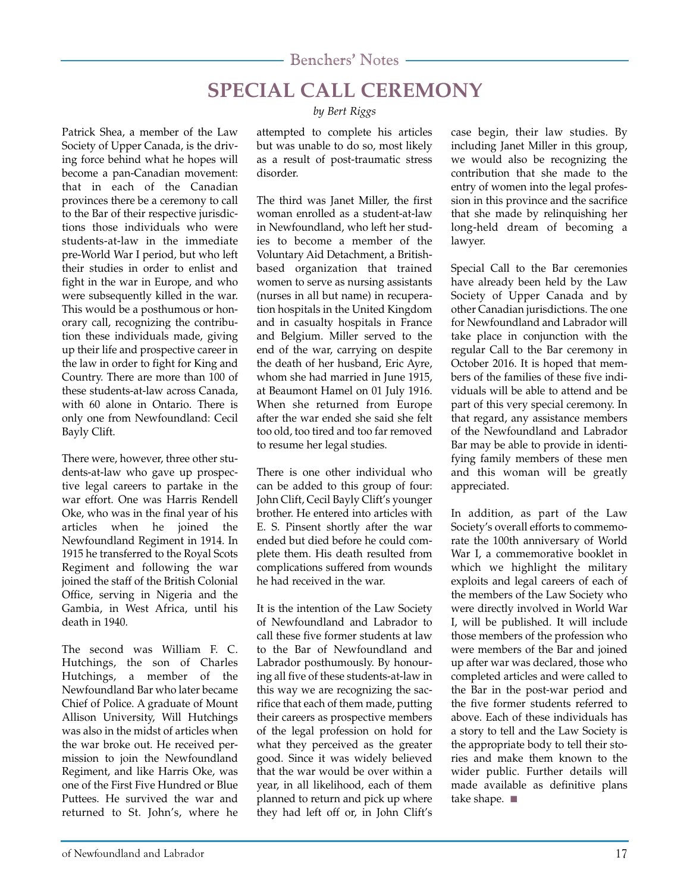# **SPECIAL CALL CEREMONY**

Patrick Shea, a member of the Law Society of Upper Canada, is the driving force behind what he hopes will become a pan-Canadian movement: that in each of the Canadian provinces there be a ceremony to call to the Bar of their respective jurisdictions those individuals who were students-at-law in the immediate pre-World War I period, but who left their studies in order to enlist and fight in the war in Europe, and who were subsequently killed in the war. This would be a posthumous or honorary call, recognizing the contribution these individuals made, giving up their life and prospective career in the law in order to fight for King and Country. There are more than 100 of these students-at-law across Canada, with 60 alone in Ontario. There is only one from Newfoundland: Cecil Bayly Clift.

There were, however, three other students-at-law who gave up prospective legal careers to partake in the war effort. One was Harris Rendell Oke, who was in the final year of his articles when he joined the Newfoundland Regiment in 1914. In 1915 he transferred to the Royal Scots Regiment and following the war joined the staff of the British Colonial Office, serving in Nigeria and the Gambia, in West Africa, until his death in 1940.

The second was William F. C. Hutchings, the son of Charles Hutchings, a member of the Newfoundland Bar who later became Chief of Police. A graduate of Mount Allison University, Will Hutchings was also in the midst of articles when the war broke out. He received permission to join the Newfoundland Regiment, and like Harris Oke, was one of the First Five Hundred or Blue Puttees. He survived the war and returned to St. John's, where he

*by Bert Riggs*

attempted to complete his articles but was unable to do so, most likely as a result of post-traumatic stress disorder.

The third was Janet Miller, the first woman enrolled as a student-at-law in Newfoundland, who left her studies to become a member of the Voluntary Aid Detachment, a Britishbased organization that trained women to serve as nursing assistants (nurses in all but name) in recuperation hospitals in the United Kingdom and in casualty hospitals in France and Belgium. Miller served to the end of the war, carrying on despite the death of her husband, Eric Ayre, whom she had married in June 1915, at Beaumont Hamel on 01 July 1916. When she returned from Europe after the war ended she said she felt too old, too tired and too far removed to resume her legal studies.

There is one other individual who can be added to this group of four: John Clift, Cecil Bayly Clift's younger brother. He entered into articles with E. S. Pinsent shortly after the war ended but died before he could complete them. His death resulted from complications suffered from wounds he had received in the war.

It is the intention of the Law Society of Newfoundland and Labrador to call these five former students at law to the Bar of Newfoundland and Labrador posthumously. By honouring all five of these students-at-law in this way we are recognizing the sacrifice that each of them made, putting their careers as prospective members of the legal profession on hold for what they perceived as the greater good. Since it was widely believed that the war would be over within a year, in all likelihood, each of them planned to return and pick up where they had left off or, in John Clift's

case begin, their law studies. By including Janet Miller in this group, we would also be recognizing the contribution that she made to the entry of women into the legal profession in this province and the sacrifice that she made by relinquishing her long-held dream of becoming a lawyer.

Special Call to the Bar ceremonies have already been held by the Law Society of Upper Canada and by other Canadian jurisdictions. The one for Newfoundland and Labrador will take place in conjunction with the regular Call to the Bar ceremony in October 2016. It is hoped that members of the families of these five individuals will be able to attend and be part of this very special ceremony. In that regard, any assistance members of the Newfoundland and Labrador Bar may be able to provide in identifying family members of these men and this woman will be greatly appreciated.

In addition, as part of the Law Society's overall efforts to commemorate the 100th anniversary of World War I, a commemorative booklet in which we highlight the military exploits and legal careers of each of the members of the Law Society who were directly involved in World War I, will be published. It will include those members of the profession who were members of the Bar and joined up after war was declared, those who completed articles and were called to the Bar in the post-war period and the five former students referred to above. Each of these individuals has a story to tell and the Law Society is the appropriate body to tell their stories and make them known to the wider public. Further details will made available as definitive plans take shape. ■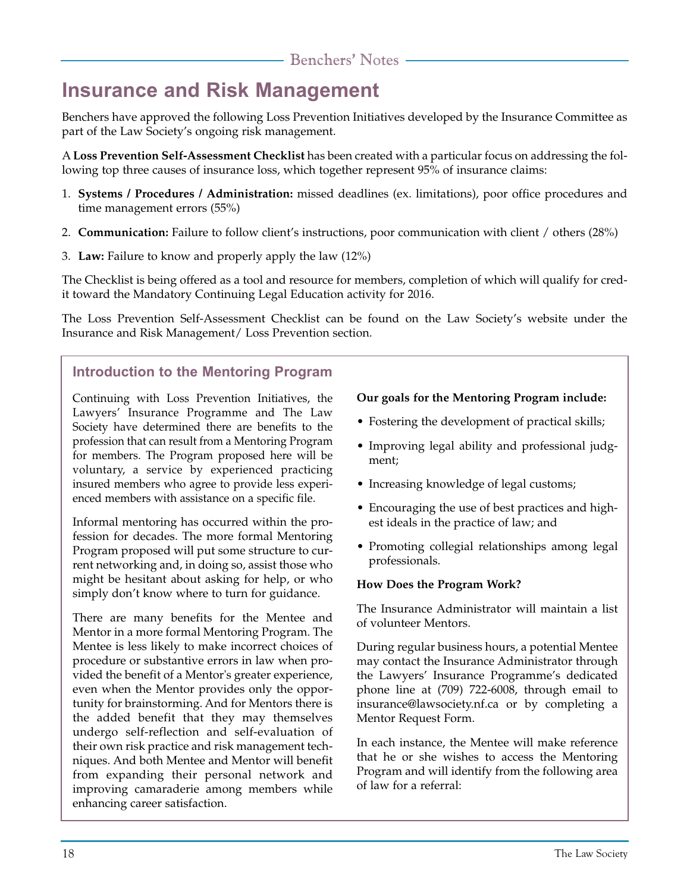# **Insurance and Risk Management**

Benchers have approved the following Loss Prevention Initiatives developed by the Insurance Committee as part of the Law Society's ongoing risk management.

A **Loss Prevention Self-Assessment Checklist** has been created with a particular focus on addressing the following top three causes of insurance loss, which together represent 95% of insurance claims:

- 1. **Systems / Procedures / Administration:** missed deadlines (ex. limitations), poor office procedures and time management errors (55%)
- 2. **Communication:** Failure to follow client's instructions, poor communication with client / others (28%)
- 3. **Law:** Failure to know and properly apply the law (12%)

The Checklist is being offered as a tool and resource for members, completion of which will qualify for credit toward the Mandatory Continuing Legal Education activity for 2016.

The Loss Prevention Self-Assessment Checklist can be found on the Law Society's website under the Insurance and Risk Management/ Loss Prevention section.

## **Introduction to the Mentoring Program**

Continuing with Loss Prevention Initiatives, the Lawyers' Insurance Programme and The Law Society have determined there are benefits to the profession that can result from a Mentoring Program for members. The Program proposed here will be voluntary, a service by experienced practicing insured members who agree to provide less experienced members with assistance on a specific file.

Informal mentoring has occurred within the profession for decades. The more formal Mentoring Program proposed will put some structure to current networking and, in doing so, assist those who might be hesitant about asking for help, or who simply don't know where to turn for guidance.

There are many benefits for the Mentee and Mentor in a more formal Mentoring Program. The Mentee is less likely to make incorrect choices of procedure or substantive errors in law when provided the benefit of a Mentor's greater experience, even when the Mentor provides only the opportunity for brainstorming. And for Mentors there is the added benefit that they may themselves undergo self-reflection and self-evaluation of their own risk practice and risk management techniques. And both Mentee and Mentor will benefit from expanding their personal network and improving camaraderie among members while enhancing career satisfaction.

### **Our goals for the Mentoring Program include:**

- Fostering the development of practical skills;
- Improving legal ability and professional judgment;
- Increasing knowledge of legal customs;
- Encouraging the use of best practices and highest ideals in the practice of law; and
- Promoting collegial relationships among legal professionals.

#### **How Does the Program Work?**

The Insurance Administrator will maintain a list of volunteer Mentors.

During regular business hours, a potential Mentee may contact the Insurance Administrator through the Lawyers' Insurance Programme's dedicated phone line at (709) 722-6008, through email to insurance@lawsociety.nf.ca or by completing a Mentor Request Form.

In each instance, the Mentee will make reference that he or she wishes to access the Mentoring Program and will identify from the following area of law for a referral: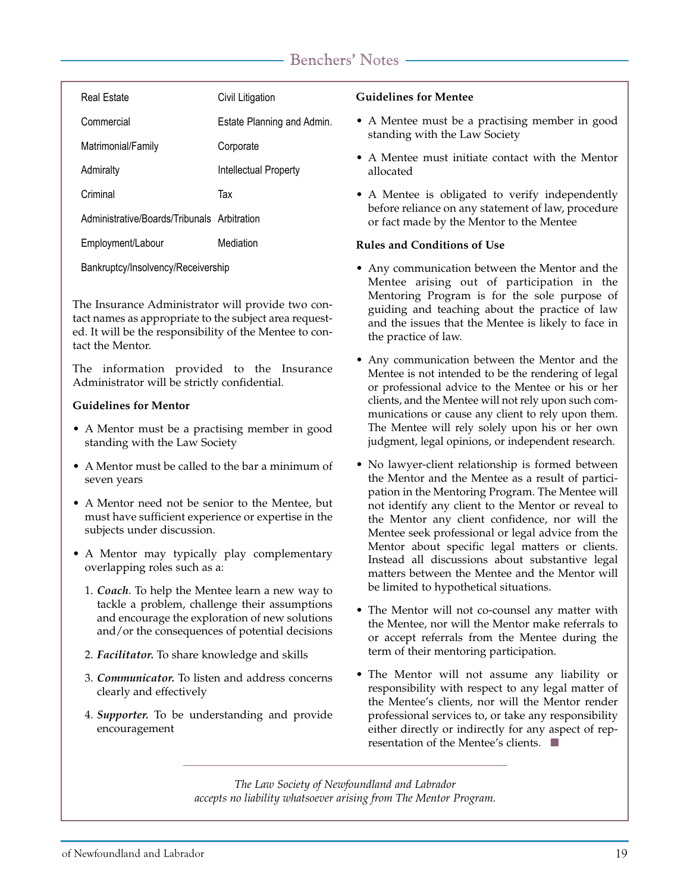| Real Estate                                 | Civil Litigation           |
|---------------------------------------------|----------------------------|
| Commercial                                  | Estate Planning and Admin. |
| Matrimonial/Family                          | Corporate                  |
| Admiralty                                   | Intellectual Property      |
| Criminal                                    | Тах                        |
| Administrative/Boards/Tribunals Arbitration |                            |
| Employment/Labour                           | Mediation                  |

Bankruptcy/Insolvency/Receivership

The Insurance Administrator will provide two contact names as appropriate to the subject area requested. It will be the responsibility of the Mentee to contact the Mentor.

The information provided to the Insurance Administrator will be strictly confidential.

#### **Guidelines for Mentor**

- A Mentor must be a practising member in good standing with the Law Society
- A Mentor must be called to the bar a minimum of seven years
- A Mentor need not be senior to the Mentee, but must have sufficient experience or expertise in the subjects under discussion.
- A Mentor may typically play complementary overlapping roles such as a:
	- 1. *Coach*. To help the Mentee learn a new way to tackle a problem, challenge their assumptions and encourage the exploration of new solutions and/or the consequences of potential decisions
	- 2. *Facilitator.* To share knowledge and skills
	- 3. *Communicator.* To listen and address concerns clearly and effectively
	- 4. *Supporter.* To be understanding and provide encouragement

#### **Guidelines for Mentee**

- A Mentee must be a practising member in good standing with the Law Society
- A Mentee must initiate contact with the Mentor allocated
- A Mentee is obligated to verify independently before reliance on any statement of law, procedure or fact made by the Mentor to the Mentee

#### **Rules and Conditions of Use**

- Any communication between the Mentor and the Mentee arising out of participation in the Mentoring Program is for the sole purpose of guiding and teaching about the practice of law and the issues that the Mentee is likely to face in the practice of law.
- Any communication between the Mentor and the Mentee is not intended to be the rendering of legal or professional advice to the Mentee or his or her clients, and the Mentee will not rely upon such communications or cause any client to rely upon them. The Mentee will rely solely upon his or her own judgment, legal opinions, or independent research.
- No lawyer-client relationship is formed between the Mentor and the Mentee as a result of participation in the Mentoring Program. The Mentee will not identify any client to the Mentor or reveal to the Mentor any client confidence, nor will the Mentee seek professional or legal advice from the Mentor about specific legal matters or clients. Instead all discussions about substantive legal matters between the Mentee and the Mentor will be limited to hypothetical situations.
- The Mentor will not co-counsel any matter with the Mentee, nor will the Mentor make referrals to or accept referrals from the Mentee during the term of their mentoring participation.
- The Mentor will not assume any liability or responsibility with respect to any legal matter of the Mentee's clients, nor will the Mentor render professional services to, or take any responsibility either directly or indirectly for any aspect of representation of the Mentee's clients. ■

*The Law Society of Newfoundland and Labrador accepts no liability whatsoever arising from The Mentor Program.*